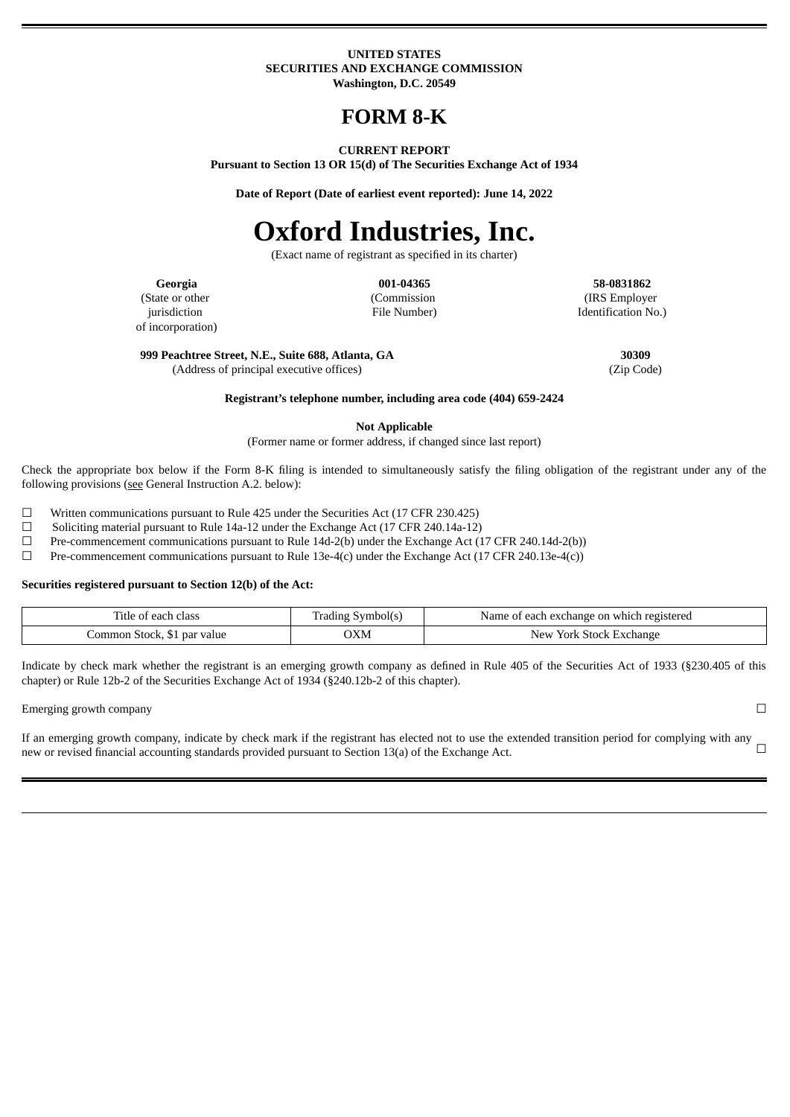#### **UNITED STATES SECURITIES AND EXCHANGE COMMISSION Washington, D.C. 20549**

# **FORM 8-K**

#### **CURRENT REPORT**

**Pursuant to Section 13 OR 15(d) of The Securities Exchange Act of 1934**

**Date of Report (Date of earliest event reported): June 14, 2022**

# **Oxford Industries, Inc.**

(Exact name of registrant as specified in its charter)

**Georgia 001-04365 58-0831862**

(IRS Employer Identification No.)

(State or other jurisdiction of incorporation) (Commission File Number)

**999 Peachtree Street, N.E., Suite 688, Atlanta, GA 30309**

(Address of principal executive offices) (Zip Code)

**Registrant's telephone number, including area code (404) 659-2424**

**Not Applicable**

(Former name or former address, if changed since last report)

Check the appropriate box below if the Form 8-K ling is intended to simultaneously satisfy the ling obligation of the registrant under any of the following provisions (see General Instruction A.2. below):

☐ Written communications pursuant to Rule 425 under the Securities Act (17 CFR 230.425)

☐ Soliciting material pursuant to Rule 14a-12 under the Exchange Act (17 CFR 240.14a-12)

☐ Pre-commencement communications pursuant to Rule 14d-2(b) under the Exchange Act (17 CFR 240.14d-2(b))

☐ Pre-commencement communications pursuant to Rule 13e-4(c) under the Exchange Act (17 CFR 240.13e-4(c))

#### **Securities registered pursuant to Section 12(b) of the Act:**

| class<br>ïtle<br>eac.<br><b>U</b>             | nbol(s<br>rao. | registered<br>'Name<br>i exchange on which<br>each |
|-----------------------------------------------|----------------|----------------------------------------------------|
| ommon<br>ır value<br>- 510Ch.<br>par<br>$  -$ | OXM            | Exchange<br>York<br>New<br>stock                   |

Indicate by check mark whether the registrant is an emerging growth company as defined in Rule 405 of the Securities Act of 1933 (§230.405 of this chapter) or Rule 12b-2 of the Securities Exchange Act of 1934 (§240.12b-2 of this chapter).

Emerging growth company ◯  $□$ 

If an emerging growth company, indicate by check mark if the registrant has elected not to use the extended transition period for complying with any new or revised financial accounting standards provided pursuant to Secti new or revised financial accounting standards provided pursuant to Section 13(a) of the Exchange Act.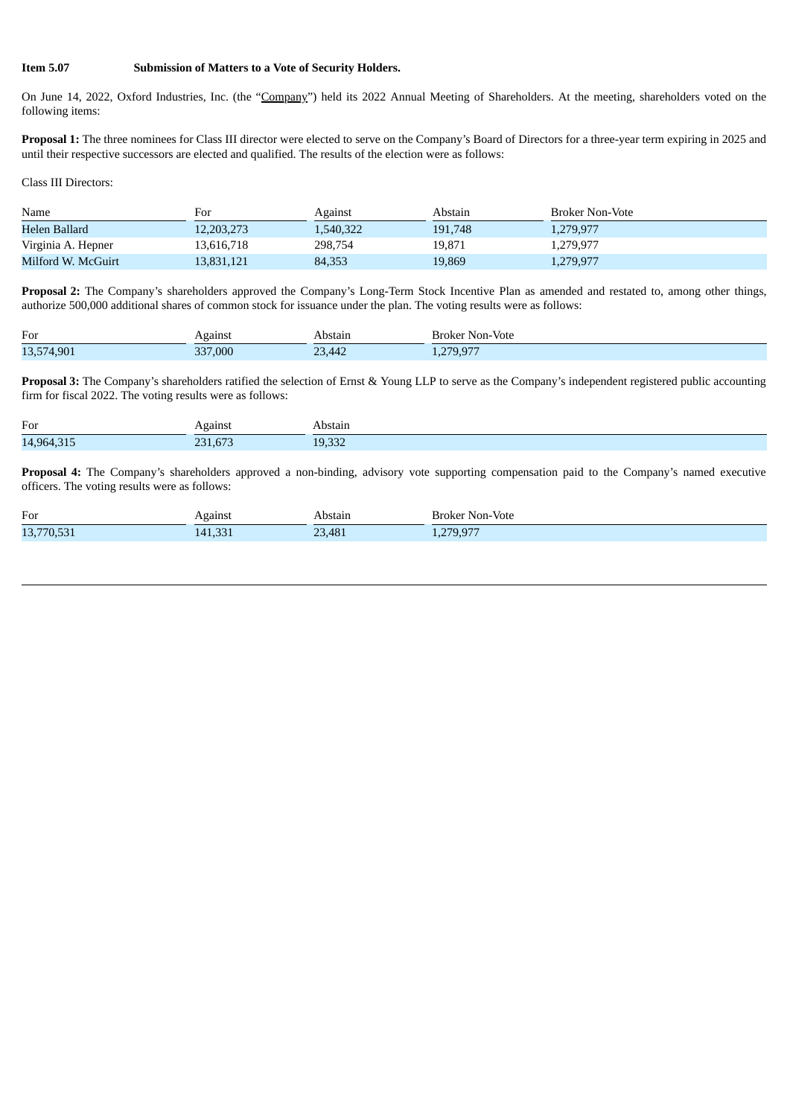### **Item 5.07 Submission of Matters to a Vote of Security Holders.**

On June 14, 2022, Oxford Industries, Inc. (the "Company") held its 2022 Annual Meeting of Shareholders. At the meeting, shareholders voted on the following items:

**Proposal 1:** The three nominees for Class III director were elected to serve on the Company's Board of Directors for a three-year term expiring in 2025 and until their respective successors are elected and qualified. The results of the election were as follows:

Class III Directors:

| Name               | For        | Against   | Abstain | Broker Non-Vote |
|--------------------|------------|-----------|---------|-----------------|
| Helen Ballard      | 12.203.273 | 1,540,322 | 191,748 | 1,279,977       |
| Virginia A. Hepner | 13.616.718 | 298,754   | 19.871  | 1,279,977       |
| Milford W. McGuirt | 13.831.121 | 84,353    | 19,869  | 1,279,977       |

**Proposal 2:** The Company's shareholders approved the Company's Long-Term Stock Incentive Plan as amended and restated to, among other things, authorize 500,000 additional shares of common stock for issuance under the plan. The voting results were as follows:

| For               | \gainsi<br>$ -$ | Abstair                                                | Non-Vote<br><b>Broker</b>                                                |
|-------------------|-----------------|--------------------------------------------------------|--------------------------------------------------------------------------|
| ന<br>13,57<br>.50 | 337,000         | nn<br>$\sqrt{2}$<br>$\sim$ $\sim$ $\sim$ $\sim$ $\sim$ | $\sqrt{2}$<br>$\sim$ $\sim$ $\sim$<br>70<br>$\sim$<br>$\frac{1}{2}$<br>. |

**Proposal 3:** The Company's shareholders ratified the selection of Ernst & Young LLP to serve as the Company's independent registered public accounting firm for fiscal 2022. The voting results were as follows:

| For<br>$\sim$ | Against<br>$\sim$ | Abstain          |
|---------------|-------------------|------------------|
| 14,964,315    | CFT<br>231,07     | $\sim$<br>19,332 |

**Proposal 4:** The Company's shareholders approved a non-binding, advisory vote supporting compensation paid to the Company's named executive officers. The voting results were as follows:

| For                                 | rgainsi<br>$\sim$ | `bstain' | ·Vote<br>Non-<br>,<br>nkei        |
|-------------------------------------|-------------------|----------|-----------------------------------|
| 13.770<br>$'0,$ JJ $\perp$<br>LJ, / | 141,331           | 23,481   | 270.077<br>1.5.51<br>$-1.9 - 1.7$ |